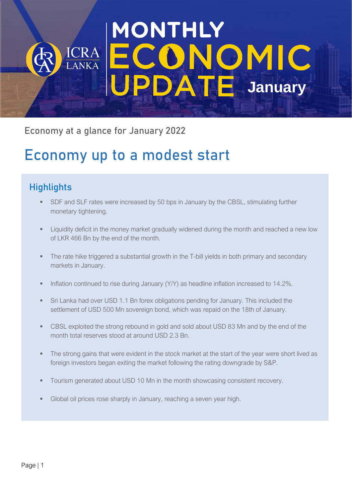# MONTHLY **DNOMIC**<br>DATE January LANKA PDAT

Economy at a glance for January 2022

## Economy up to a modest start

## **Highlights**

- SDF and SLF rates were increased by 50 bps in January by the CBSL, stimulating further monetary tightening.
- **EXEDENT II** Liquidity deficit in the money market gradually widened during the month and reached a new low of LKR 466 Bn by the end of the month.
- **•** The rate hike triggered a substantial growth in the T-bill yields in both primary and secondary markets in January.
- **•** Inflation continued to rise during January (Y/Y) as headline inflation increased to 14.2%.
- Sri Lanka had over USD 1.1 Bn forex obligations pending for January. This included the settlement of USD 500 Mn sovereign bond, which was repaid on the 18th of January.
- **CBSL exploited the strong rebound in gold and sold about USD 83 Mn and by the end of the** month total reserves stood at around USD 2.3 Bn.
- The strong gains that were evident in the stock market at the start of the year were short lived as foreign investors began exiting the market following the rating downgrade by S&P.
- Tourism generated about USD 10 Mn in the month showcasing consistent recovery.
- Global oil prices rose sharply in January, reaching a seven year high.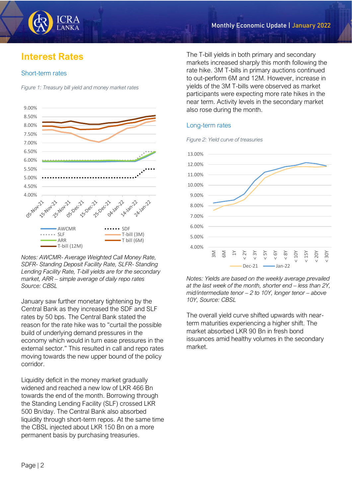## **Interest Rates**

#### Short-term rates





*Notes: AWCMR- Average Weighted Call Money Rate, SDFR- Standing Deposit Facility Rate, SLFR- Standing Lending Facility Rate, T-bill yields are for the secondary market, ARR – simple average of daily repo rates Source: CBSL*

January saw further monetary tightening by the Central Bank as they increased the SDF and SLF rates by 50 bps. The Central Bank stated the reason for the rate hike was to "curtail the possible build of underlying demand pressures in the economy which would in turn ease pressures in the external sector." This resulted in call and repo rates moving towards the new upper bound of the policy corridor.

Liquidity deficit in the money market gradually widened and reached a new low of LKR 466 Bn towards the end of the month. Borrowing through the Standing Lending Facility (SLF) crossed LKR 500 Bn/day. The Central Bank also absorbed liquidity through short-term repos. At the same time the CBSL injected about LKR 150 Bn on a more permanent basis by purchasing treasuries.

The T-bill yields in both primary and secondary markets increased sharply this month following the rate hike. 3M T-bills in primary auctions continued to out-perform 6M and 12M. However, increase in yields of the 3M T-bills were observed as market participants were expecting more rate hikes in the near term. Activity levels in the secondary market also rose during the month.

#### Long-term rates

*Figure 2: Yield curve of treasuries*



*Notes: Yields are based on the weekly average prevailed at the last week of the month, shorter end – less than 2Y, mid/intermediate tenor – 2 to 10Y, longer tenor – above 10Y, Source: CBSL*

The overall yield curve shifted upwards with nearterm maturities experiencing a higher shift. The market absorbed LKR 90 Bn in fresh bond issuances amid healthy volumes in the secondary market.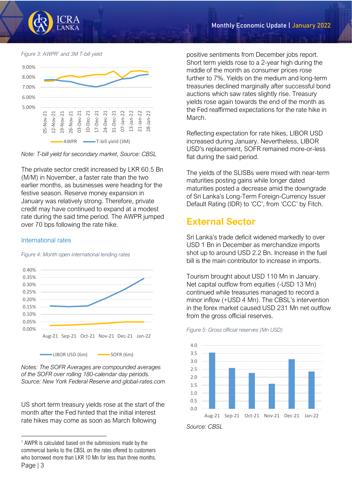

*Figure 3: AWPR<sup>1</sup> and 3M T-bill yield*



*Note: T-bill yield for secondary market, Source: CBSL*

The private sector credit increased by LKR 60.5 Bn (M/M) in November, a faster rate than the two earlier months, as businesses were heading for the festive season. Reserve money expansion in January was relatively strong. Therefore, private credit may have continued to expand at a modest rate during the said time period. The AWPR jumped over 70 bps following the rate hike.

#### International rates



*Figure 4: Month open international lending rates*

*Notes: The SOFR Averages are compounded averages of the SOFR over rolling 180-calendar day periods. Source: New York Federal Reserve and global-rates.com*

US short term treasury yields rose at the start of the month after the Fed hinted that the initial interest rate hikes may come as soon as March following

positive sentiments from December jobs report. Short term yields rose to a 2-year high during the middle of the month as consumer prices rose further to 7%. Yields on the medium and long-term treasuries declined marginally after successful bond auctions which saw rates slightly rise. Treasury yields rose again towards the end of the month as the Fed reaffirmed expectations for the rate hike in March.

Reflecting expectation for rate hikes, LIBOR USD increased during January. Nevertheless, LIBOR USD's replacement, SOFR remained more-or-less flat during the said period.

The yields of the SLISBs were mixed with near-term maturities posting gains while longer dated maturities posted a decrease amid the downgrade of Sri Lanka's Long-Term Foreign-Currency Issuer Default Rating (IDR) to 'CC', from 'CCC' by Fitch.

### **External Sector**

Sri Lanka's trade deficit widened markedly to over USD 1 Bn in December as merchandize imports shot up to around USD 2.2 Bn. Increase in the fuel bill is the main contributor to increase in imports.

Tourism brought about USD 110 Mn in January. Net capital outflow from equities (-USD 13 Mn) continued while treasuries managed to record a minor inflow (+USD 4 Mn). The CBSL's intervention in the forex market caused USD 231 Mn net outflow from the gross official reserves.

*Figure 5: Gross official reserves (Mn USD)*



*Source: CBSL*

Page | 3 <sup>1</sup> AWPR is calculated based on the submissions made by the commercial banks to the CBSL on the rates offered to customers who borrowed more than LKR 10 Mn for less than three months.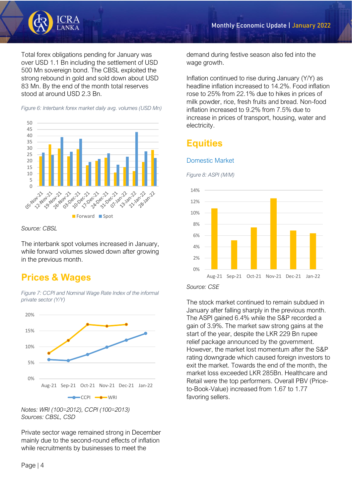

Total forex obligations pending for January was over USD 1.1 Bn including the settlement of USD 500 Mn sovereign bond. The CBSL exploited the strong rebound in gold and sold down about USD 83 Mn. By the end of the month total reserves stood at around USD 2.3 Bn.

*Figure 6: Interbank forex market daily avg. volumes (USD Mn)*



*Source: CBSL*

The interbank spot volumes increased in January, while forward volumes slowed down after growing in the previous month.

## **Prices & Wages**

*Figure 7: CCPI and Nominal Wage Rate Index of the informal private sector (Y/Y)*



*Notes: WRI (100=2012), CCPI (100=2013) Sources: CBSL, CSD*

Private sector wage remained strong in December mainly due to the second-round effects of inflation while recruitments by businesses to meet the

demand during festive season also fed into the wage growth.

Inflation continued to rise during January (Y/Y) as headline inflation increased to 14.2%. Food inflation rose to 25% from 22.1% due to hikes in prices of milk powder, rice, fresh fruits and bread. Non-food inflation increased to 9.2% from 7.5% due to increase in prices of transport, housing, water and electricity.

## **Equities**

#### Domestic Market





*Source: CSE*

The stock market continued to remain subdued in January after falling sharply in the previous month. The ASPI gained 6.4% while the S&P recorded a gain of 3.9%. The market saw strong gains at the start of the year, despite the LKR 229 Bn rupee relief package announced by the government. However, the market lost momentum after the S&P rating downgrade which caused foreign investors to exit the market. Towards the end of the month, the market loss exceeded LKR 285Bn. Healthcare and Retail were the top performers. Overall PBV (Priceto-Book-Value) increased from 1.67 to 1.77 favoring sellers.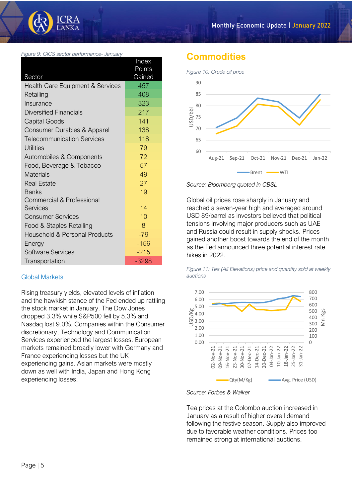

*Figure 9: GICS sector performance- January*

|                                   | Index   |
|-----------------------------------|---------|
|                                   | Points  |
| Sector                            | Gained  |
| Health Care Equipment & Services  | 457     |
| Retailing                         | 408     |
| Insurance                         | 323     |
| <b>Diversified Financials</b>     | 217     |
| <b>Capital Goods</b>              | 141     |
| Consumer Durables & Apparel       | 138     |
| <b>Telecommunication Services</b> | 118     |
| <b>Utilities</b>                  | 79      |
| Automobiles & Components          | 72      |
| Food, Beverage & Tobacco          | 57      |
| <b>Materials</b>                  | 49      |
| <b>Real Estate</b>                | 27      |
| <b>Banks</b>                      | 19      |
| Commercial & Professional         |         |
| <b>Services</b>                   | 14      |
| <b>Consumer Services</b>          | 10      |
| Food & Staples Retailing          | 8       |
| Household & Personal Products     | $-79$   |
| Energy                            | $-156$  |
| Software Services                 | $-215$  |
| Transportation                    | $-3298$ |

#### Global Markets

Rising treasury yields, elevated levels of inflation and the hawkish stance of the Fed ended up rattling the stock market in January. The Dow Jones dropped 3.3% while S&P500 fell by 5.3% and Nasdaq lost 9.0%. Companies within the Consumer discretionary, Technology and Communication Services experienced the largest losses. European markets remained broadly lower with Germany and France experiencing losses but the UK experiencing gains. Asian markets were mostly down as well with India, Japan and Hong Kong experiencing losses.

#### **Commodities**



*Source: Bloomberg quoted in CBSL*

Global oil prices rose sharply in January and reached a seven-year high and averaged around USD 89/barrel as investors believed that political tensions involving major producers such as UAE and Russia could result in supply shocks. Prices gained another boost towards the end of the month as the Fed announced three potential interest rate hikes in 2022.

*Figure 11: Tea (All Elevations) price and quantity sold at weekly auctions*





Tea prices at the Colombo auction increased in January as a result of higher overall demand following the festive season. Supply also improved due to favorable weather conditions. Prices too remained strong at international auctions.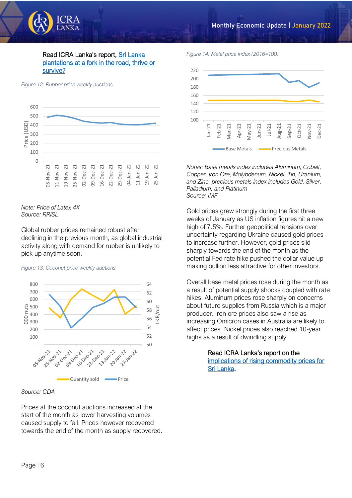

#### Read ICRA Lanka's report, Sri Lanka [plantations at a fork in the road, thrive or](https://www.icralanka.com/research/sri-lanka-plantations-at-a-fork-in-the-road-thrive-or-survive/)  [survive?](https://www.icralanka.com/research/sri-lanka-plantations-at-a-fork-in-the-road-thrive-or-survive/)

*Figure 12: Rubber price weekly auctions*



*Note: Price of Latex 4X Source: RRISL*

Global rubber prices remained robust after declining in the previous month, as global industrial activity along with demand for rubber is unlikely to pick up anytime soon.

#### *Figure 13: Coconut price weekly auctions*



#### *Source: CDA*

Prices at the coconut auctions increased at the start of the month as lower harvesting volumes caused supply to fall. Prices however recovered towards the end of the month as supply recovered. *Figure 14: Metal price index (2016=100)*



*Notes: Base metals index includes Aluminum, Cobalt, Copper, Iron Ore, Molybdenum, Nickel, Tin, Uranium, and Zinc, precious metals index includes Gold, Silver, Palladium, and Platinum Source: IMF*

Gold prices grew strongly during the first three weeks of January as US inflation figures hit a new high of 7.5%. Further geopolitical tensions over uncertainty regarding Ukraine caused gold prices to increase further. However, gold prices slid sharply towards the end of the month as the potential Fed rate hike pushed the dollar value up making bullion less attractive for other investors.

Overall base metal prices rose during the month as a result of potential supply shocks coupled with rate hikes. Aluminum prices rose sharply on concerns about future supplies from Russia which is a major producer. Iron ore prices also saw a rise as increasing Omicron cases in Australia are likely to affect prices. Nickel prices also reached 10-year highs as a result of dwindling supply.

> Read ICRA Lanka's report on the [implications of rising commodity prices for](https://www.icralanka.com/research/commodity-price-deflation-is-over-what-next-for-sri-lanka/)  [Sri Lanka.](https://www.icralanka.com/research/commodity-price-deflation-is-over-what-next-for-sri-lanka/)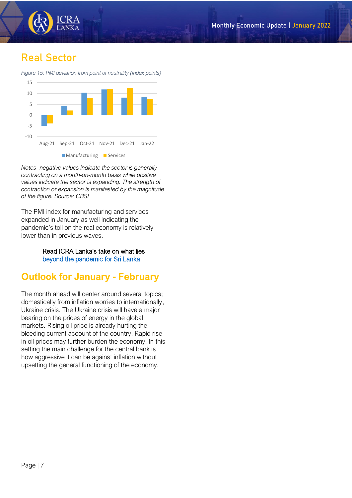

## **Real Sector**

*Figure 15: PMI deviation from point of neutrality (Index points)*



*Notes- negative values indicate the sector is generally contracting on a month-on-month basis while positive values indicate the sector is expanding. The strength of contraction or expansion is manifested by the magnitude of the figure. Source: CBSL*

The PMI index for manufacturing and services expanded in January as well indicating the pandemic's toll on the real economy is relatively lower than in previous waves.

> Read ICRA Lanka's take on what lies [beyond the pandemic for Sri Lanka](https://www.icralanka.com/research/pandemic-to-endemic-implications-for-sri-lankan-economy/)

## **Outlook for January - February**

The month ahead will center around several topics; domestically from inflation worries to internationally, Ukraine crisis. The Ukraine crisis will have a major bearing on the prices of energy in the global markets. Rising oil price is already hurting the bleeding current account of the country. Rapid rise in oil prices may further burden the economy. In this setting the main challenge for the central bank is how aggressive it can be against inflation without upsetting the general functioning of the economy.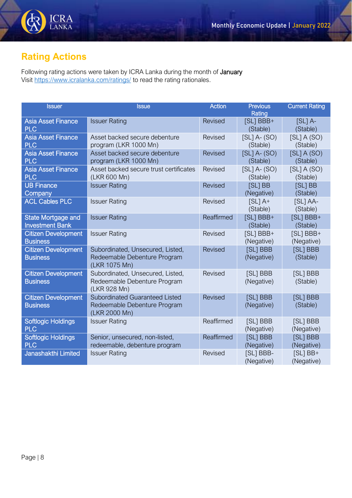

## **Rating Actions**

Following rating actions were taken by ICRA Lanka during the month of January Visit<https://www.icralanka.com/ratings/> to read the rating rationales.

| <b>Issuer</b>                                       | <b>Issue</b>                                                                           | <b>Action</b>  | <b>Previous</b><br>Rating    | <b>Current Rating</b>    |
|-----------------------------------------------------|----------------------------------------------------------------------------------------|----------------|------------------------------|--------------------------|
| <b>Asia Asset Finance</b><br><b>PLC</b>             | <b>Issuer Rating</b>                                                                   | <b>Revised</b> | [SL] BBB+<br>(Stable)        | $[SL]$ A-<br>(Stable)    |
| <b>Asia Asset Finance</b><br><b>PLC</b>             | Asset backed secure debenture<br>program (LKR 1000 Mn)                                 | Revised        | $[SL]$ A- $(SO)$<br>(Stable) | [SL] A (SO)<br>(Stable)  |
| <b>Asia Asset Finance</b><br><b>PLC</b>             | Asset backed secure debenture<br>program (LKR 1000 Mn)                                 | Revised        | $[SL]$ A- $(SO)$<br>(Stable) | [SL] A (SO)<br>(Stable)  |
| <b>Asia Asset Finance</b><br><b>PLC</b>             | Asset backed secure trust certificates<br>(LKR 600 Mn)                                 | Revised        | $[SL]$ A- $(SO)$<br>(Stable) | [SL] A (SO)<br>(Stable)  |
| <b>UB Finance</b><br>Company                        | <b>Issuer Rating</b>                                                                   | <b>Revised</b> | [SL] BB<br>(Negative)        | [SL] BB<br>(Stable)      |
| <b>ACL Cables PLC</b>                               | <b>Issuer Rating</b>                                                                   | Revised        | $[SL]$ A+<br>(Stable)        | [SL] AA-<br>(Stable)     |
| <b>State Mortgage and</b><br><b>Investment Bank</b> | <b>Issuer Rating</b>                                                                   | Reaffirmed     | [SL] BBB+<br>(Stable)        | [SL] BBB+<br>(Stable)    |
| <b>Citizen Development</b><br><b>Business</b>       | <b>Issuer Rating</b>                                                                   | <b>Revised</b> | [SL] BBB+<br>(Negative)      | [SL] BBB+<br>(Negative)  |
| <b>Citizen Development</b><br><b>Business</b>       | Subordinated, Unsecured, Listed,<br>Redeemable Debenture Program<br>(LKR 1075 Mn)      | <b>Revised</b> | [SL] BBB<br>(Negative)       | [SL] BBB<br>(Stable)     |
| <b>Citizen Development</b><br><b>Business</b>       | Subordinated, Unsecured, Listed,<br>Redeemable Debenture Program<br>(LKR 928 Mn)       | <b>Revised</b> | [SL] BBB<br>(Negative)       | [SL] BBB<br>(Stable)     |
| <b>Citizen Development</b><br><b>Business</b>       | <b>Subordinated Guaranteed Listed</b><br>Redeemable Debenture Program<br>(LKR 2000 Mn) | <b>Revised</b> | [SL] BBB<br>(Negative)       | [SL] BBB<br>(Stable)     |
| <b>Softlogic Holdings</b><br><b>PLC</b>             | <b>Issuer Rating</b>                                                                   | Reaffirmed     | [SL] BBB<br>(Negative)       | [SL] BBB<br>(Negative)   |
| <b>Softlogic Holdings</b><br><b>PLC</b>             | Senior, unsecured, non-listed,<br>redeemable, debenture program                        | Reaffirmed     | [SL] BBB<br>(Negative)       | [SL] BBB<br>(Negative)   |
| Janashakthi Limited                                 | <b>Issuer Rating</b>                                                                   | Revised        | [SL] BBB-<br>(Negative)      | $[SL]$ BB+<br>(Negative) |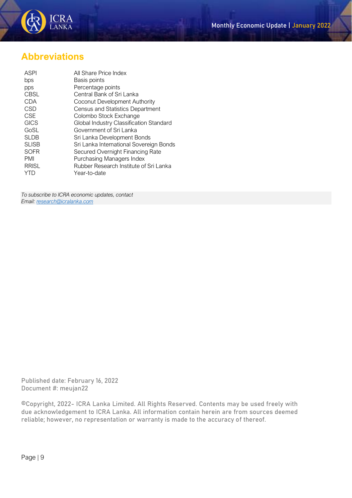

## **Abbreviations**

| All Share Price Index                   |
|-----------------------------------------|
| Basis points                            |
| Percentage points                       |
| Central Bank of Sri Lanka               |
| Coconut Development Authority           |
| <b>Census and Statistics Department</b> |
| Colombo Stock Exchange                  |
| Global Industry Classification Standard |
| Government of Sri Lanka                 |
| Sri Lanka Development Bonds             |
| Sri Lanka International Sovereign Bonds |
| Secured Overnight Financing Rate        |
| Purchasing Managers Index               |
| Rubber Research Institute of Sri Lanka  |
| Year-to-date                            |
|                                         |

*To subscribe to ICRA economic updates, contact Email[: research@icralanka.com](mailto:research@icralanka.com)*

Published date: February 16, 2022 Document #: meujan22

©Copyright, 2022- ICRA Lanka Limited. All Rights Reserved. Contents may be used freely with due acknowledgement to ICRA Lanka. All information contain herein are from sources deemed reliable; however, no representation or warranty is made to the accuracy of thereof.